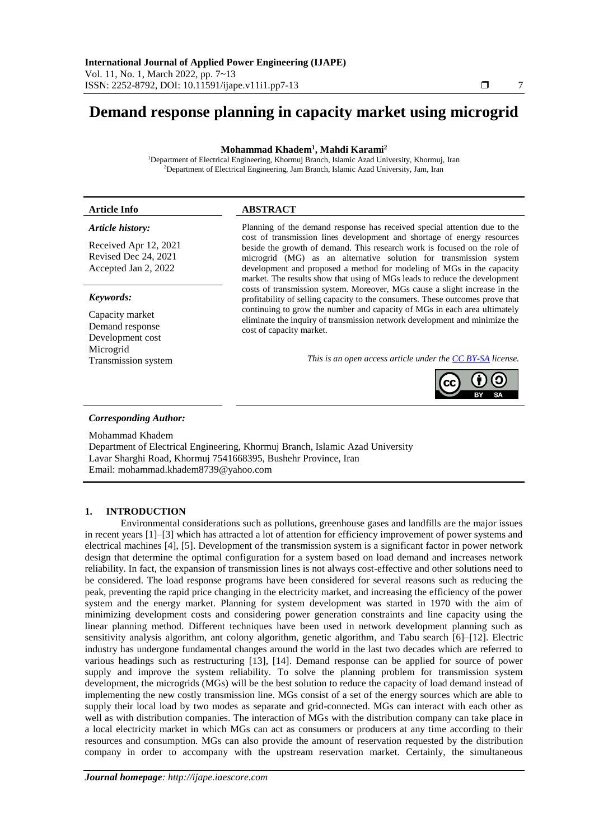# **Demand response planning in capacity market using microgrid**

**Mohammad Khadem<sup>1</sup> , Mahdi Karami<sup>2</sup>**

<sup>1</sup>Department of Electrical Engineering, Khormuj Branch, Islamic Azad University, Khormuj, Iran <sup>2</sup>Department of Electrical Engineering, Jam Branch, Islamic Azad University, Jam, Iran

| <b>Article Info</b>                                                   | <b>ABSTRACT</b>                                                                                                                                                                                                                                                                                                                                                                  |
|-----------------------------------------------------------------------|----------------------------------------------------------------------------------------------------------------------------------------------------------------------------------------------------------------------------------------------------------------------------------------------------------------------------------------------------------------------------------|
| Article history:                                                      | Planning of the demand response has received special attention due to the                                                                                                                                                                                                                                                                                                        |
| Received Apr 12, 2021<br>Revised Dec 24, 2021<br>Accepted Jan 2, 2022 | cost of transmission lines development and shortage of energy resources<br>beside the growth of demand. This research work is focused on the role of<br>microgrid (MG) as an alternative solution for transmission system<br>development and proposed a method for modeling of MGs in the capacity<br>market. The results show that using of MGs leads to reduce the development |
| Keywords:                                                             | costs of transmission system. Moreover, MGs cause a slight increase in the<br>profitability of selling capacity to the consumers. These outcomes prove that                                                                                                                                                                                                                      |
| Capacity market<br>Demand response<br>Development cost                | continuing to grow the number and capacity of MGs in each area ultimately<br>eliminate the inquiry of transmission network development and minimize the<br>cost of capacity market.                                                                                                                                                                                              |
| Microgrid<br>Transmission system                                      | This is an open access article under the CC BY-SA license.                                                                                                                                                                                                                                                                                                                       |
|                                                                       |                                                                                                                                                                                                                                                                                                                                                                                  |

# *Corresponding Author:*

Mohammad Khadem

Department of Electrical Engineering, Khormuj Branch, Islamic Azad University Lavar Sharghi Road, Khormuj 7541668395, Bushehr Province, Iran Email: mohammad.khadem8739@yahoo.com

## **1. INTRODUCTION**

Environmental considerations such as pollutions, greenhouse gases and landfills are the major issues in recent years [1]–[3] which has attracted a lot of attention for efficiency improvement of power systems and electrical machines [4], [5]. Development of the transmission system is a significant factor in power network design that determine the optimal configuration for a system based on load demand and increases network reliability. In fact, the expansion of transmission lines is not always cost-effective and other solutions need to be considered. The load response programs have been considered for several reasons such as reducing the peak, preventing the rapid price changing in the electricity market, and increasing the efficiency of the power system and the energy market. Planning for system development was started in 1970 with the aim of minimizing development costs and considering power generation constraints and line capacity using the linear planning method. Different techniques have been used in network development planning such as sensitivity analysis algorithm, ant colony algorithm, genetic algorithm, and Tabu search [6]–[12]. Electric industry has undergone fundamental changes around the world in the last two decades which are referred to various headings such as restructuring [13], [14]. Demand response can be applied for source of power supply and improve the system reliability. To solve the planning problem for transmission system development, the microgrids (MGs) will be the best solution to reduce the capacity of load demand instead of implementing the new costly transmission line. MGs consist of a set of the energy sources which are able to supply their local load by two modes as separate and grid-connected. MGs can interact with each other as well as with distribution companies. The interaction of MGs with the distribution company can take place in a local electricity market in which MGs can act as consumers or producers at any time according to their resources and consumption. MGs can also provide the amount of reservation requested by the distribution company in order to accompany with the upstream reservation market. Certainly, the simultaneous

**BY SA**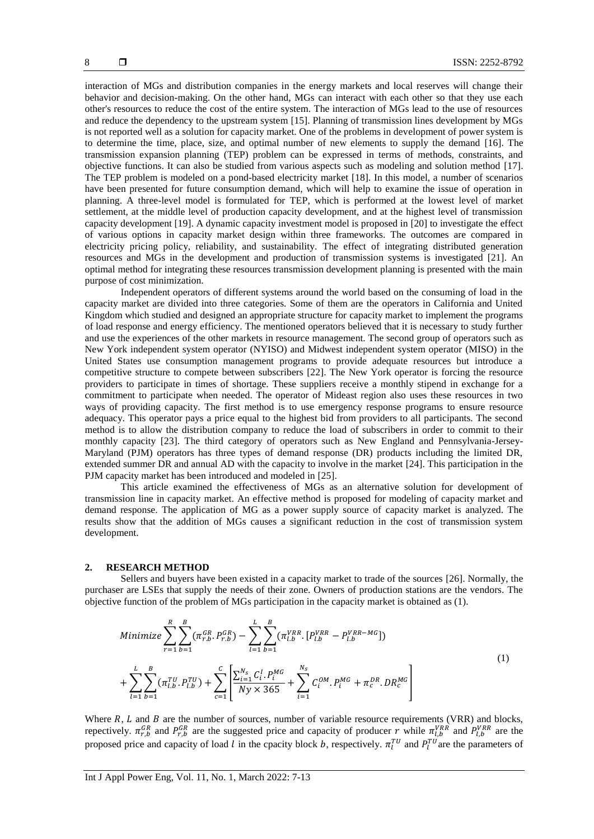interaction of MGs and distribution companies in the energy markets and local reserves will change their behavior and decision-making. On the other hand, MGs can interact with each other so that they use each other's resources to reduce the cost of the entire system. The interaction of MGs lead to the use of resources and reduce the dependency to the upstream system [15]. Planning of transmission lines development by MGs is not reported well as a solution for capacity market. One of the problems in development of power system is to determine the time, place, size, and optimal number of new elements to supply the demand [16]. The transmission expansion planning (TEP) problem can be expressed in terms of methods, constraints, and objective functions. It can also be studied from various aspects such as modeling and solution method [17]. The TEP problem is modeled on a pond-based electricity market [18]. In this model, a number of scenarios have been presented for future consumption demand, which will help to examine the issue of operation in planning. A three-level model is formulated for TEP, which is performed at the lowest level of market settlement, at the middle level of production capacity development, and at the highest level of transmission capacity development [19]. A dynamic capacity investment model is proposed in [20] to investigate the effect of various options in capacity market design within three frameworks. The outcomes are compared in electricity pricing policy, reliability, and sustainability. The effect of integrating distributed generation resources and MGs in the development and production of transmission systems is investigated [21]. An optimal method for integrating these resources transmission development planning is presented with the main purpose of cost minimization.

Independent operators of different systems around the world based on the consuming of load in the capacity market are divided into three categories. Some of them are the operators in California and United Kingdom which studied and designed an appropriate structure for capacity market to implement the programs of load response and energy efficiency. The mentioned operators believed that it is necessary to study further and use the experiences of the other markets in resource management. The second group of operators such as New York independent system operator (NYISO) and Midwest independent system operator (MISO) in the United States use consumption management programs to provide adequate resources but introduce a competitive structure to compete between subscribers [22]. The New York operator is forcing the resource providers to participate in times of shortage. These suppliers receive a monthly stipend in exchange for a commitment to participate when needed. The operator of Mideast region also uses these resources in two ways of providing capacity. The first method is to use emergency response programs to ensure resource adequacy. This operator pays a price equal to the highest bid from providers to all participants. The second method is to allow the distribution company to reduce the load of subscribers in order to commit to their monthly capacity [23]. The third category of operators such as New England and Pennsylvania-Jersey-Maryland (PJM) operators has three types of demand response (DR) products including the limited DR, extended summer DR and annual AD with the capacity to involve in the market [24]. This participation in the PJM capacity market has been introduced and modeled in [25].

This article examined the effectiveness of MGs as an alternative solution for development of transmission line in capacity market. An effective method is proposed for modeling of capacity market and demand response. The application of MG as a power supply source of capacity market is analyzed. The results show that the addition of MGs causes a significant reduction in the cost of transmission system development.

#### **2. RESEARCH METHOD**

Sellers and buyers have been existed in a capacity market to trade of the sources [26]. Normally, the purchaser are LSEs that supply the needs of their zone. Owners of production stations are the vendors. The objective function of the problem of MGs participation in the capacity market is obtained as (1).

$$
Minimize \sum_{r=1}^{R} \sum_{b=1}^{B} (\pi_{r,b}^{GR}, P_{r,b}^{GR}) - \sum_{l=1}^{L} \sum_{b=1}^{B} (\pi_{l,b}^{VRR} \cdot [P_{l,b}^{VRR} - P_{l,b}^{VRR-MG}])
$$
  
+ 
$$
\sum_{l=1}^{L} \sum_{b=1}^{B} (\pi_{l,b}^{TU} \cdot P_{l,b}^{TU}) + \sum_{c=1}^{C} \left[ \frac{\sum_{i=1}^{N_s} C_i^I \cdot P_i^{MG}}{Ny \times 365} + \sum_{i=1}^{N_s} C_i^{OM} \cdot P_i^{MG} + \pi_c^{DR} \cdot DR_c^{MG} \right]
$$

$$
(1)
$$

Where  $R$ ,  $L$  and  $B$  are the number of sources, number of variable resource requirements (VRR) and blocks, repectively.  $\pi_{r,b}^{GR}$  and  $P_{r,b}^{GR}$  are the suggested price and capacity of producer r while  $\pi_{l,b}^{VRR}$  and  $P_{l,b}^{VRR}$  are the proposed price and capacity of load l in the cpacity block b, respectively.  $\pi_l^{TU}$  and  $P_l^{TU}$  are the parameters of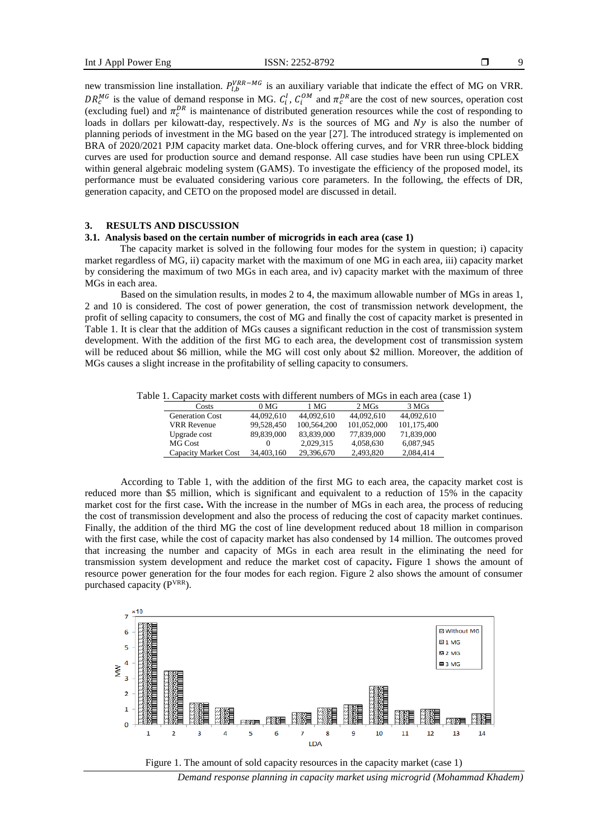9

new transmission line installation.  $P_{l,b}^{VRR-MG}$  is an auxiliary variable that indicate the effect of MG on VRR.  $DR_c^{MG}$  is the value of demand response in MG.  $C_i^I$ ,  $C_i^{OM}$  and  $\pi_c^{DR}$  are the cost of new sources, operation cost (excluding fuel) and  $\pi_c^{DR}$  is maintenance of distributed generation resources while the cost of responding to loads in dollars per kilowatt-day, respectively.  $Ns$  is the sources of MG and  $Ny$  is also the number of planning periods of investment in the MG based on the year [27]. The introduced strategy is implemented on BRA of 2020/2021 PJM capacity market data. One-block offering curves, and for VRR three-block bidding curves are used for production source and demand response. All case studies have been run using CPLEX within general algebraic modeling system (GAMS). To investigate the efficiency of the proposed model, its performance must be evaluated considering various core parameters. In the following, the effects of DR, generation capacity, and CETO on the proposed model are discussed in detail.

# **3. RESULTS AND DISCUSSION**

### **3.1. Analysis based on the certain number of microgrids in each area (case 1)**

The capacity market is solved in the following four modes for the system in question; i) capacity market regardless of MG, ii) capacity market with the maximum of one MG in each area, iii) capacity market by considering the maximum of two MGs in each area, and iv) capacity market with the maximum of three MGs in each area.

Based on the simulation results, in modes 2 to 4, the maximum allowable number of MGs in areas 1, 2 and 10 is considered. The cost of power generation, the cost of transmission network development, the profit of selling capacity to consumers, the cost of MG and finally the cost of capacity market is presented in Table 1. It is clear that the addition of MGs causes a significant reduction in the cost of transmission system development. With the addition of the first MG to each area, the development cost of transmission system will be reduced about \$6 million, while the MG will cost only about \$2 million. Moreover, the addition of MGs causes a slight increase in the profitability of selling capacity to consumers.

Table 1. Capacity market costs with different numbers of MGs in each area (case 1)

| Costs                  | 0 <sub>MG</sub> | 1 MG        | 2 MGs       | 3 MGs       |
|------------------------|-----------------|-------------|-------------|-------------|
| <b>Generation Cost</b> | 44,092,610      | 44,092,610  | 44,092,610  | 44,092,610  |
| <b>VRR</b> Revenue     | 99.528.450      | 100.564.200 | 101.052.000 | 101,175,400 |
| Upgrade cost           | 89,839,000      | 83,839,000  | 77,839,000  | 71,839,000  |
| MG Cost                | $^{(1)}$        | 2.029.315   | 4,058,630   | 6,087,945   |
| Capacity Market Cost   | 34,403,160      | 29,396,670  | 2.493.820   | 2,084,414   |

According to Table 1, with the addition of the first MG to each area, the capacity market cost is reduced more than \$5 million, which is significant and equivalent to a reduction of 15% in the capacity market cost for the first case**.** With the increase in the number of MGs in each area, the process of reducing the cost of transmission development and also the process of reducing the cost of capacity market continues. Finally, the addition of the third MG the cost of line development reduced about 18 million in comparison with the first case, while the cost of capacity market has also condensed by 14 million. The outcomes proved that increasing the number and capacity of MGs in each area result in the eliminating the need for transmission system development and reduce the market cost of capacity**.** Figure 1 shows the amount of resource power generation for the four modes for each region. Figure 2 also shows the amount of consumer purchased capacity  $(P<sup>VRR</sup>)$ .





*Demand response planning in capacity market using microgrid (Mohammad Khadem)*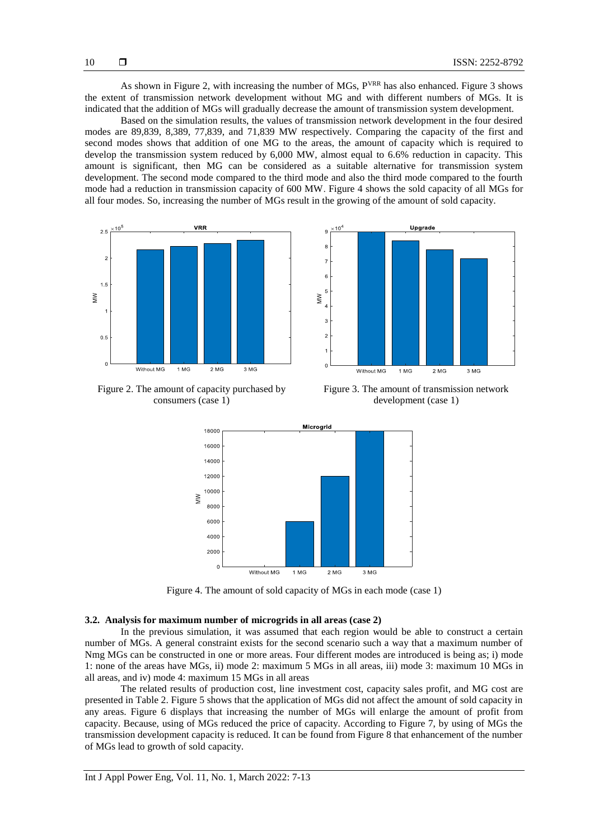As shown in Figure 2, with increasing the number of MGs, P<sup>VRR</sup> has also enhanced. Figure 3 shows the extent of transmission network development without MG and with different numbers of MGs. It is indicated that the addition of MGs will gradually decrease the amount of transmission system development.

Based on the simulation results, the values of transmission network development in the four desired modes are 89,839, 8,389, 77,839, and 71,839 MW respectively. Comparing the capacity of the first and second modes shows that addition of one MG to the areas, the amount of capacity which is required to develop the transmission system reduced by 6,000 MW, almost equal to 6.6% reduction in capacity. This amount is significant, then MG can be considered as a suitable alternative for transmission system development. The second mode compared to the third mode and also the third mode compared to the fourth mode had a reduction in transmission capacity of 600 MW. Figure 4 shows the sold capacity of all MGs for all four modes. So, increasing the number of MGs result in the growing of the amount of sold capacity.





Figure 2. The amount of capacity purchased by consumers (case 1)

Figure 3. The amount of transmission network development (case 1)



Figure 4. The amount of sold capacity of MGs in each mode (case 1)

## **3.2. Analysis for maximum number of microgrids in all areas (case 2)**

In the previous simulation, it was assumed that each region would be able to construct a certain number of MGs. A general constraint exists for the second scenario such a way that a maximum number of Nmg MGs can be constructed in one or more areas. Four different modes are introduced is being as; i) mode 1: none of the areas have MGs, ii) mode 2: maximum 5 MGs in all areas, iii) mode 3: maximum 10 MGs in all areas, and iv) mode 4: maximum 15 MGs in all areas

The related results of production cost, line investment cost, capacity sales profit, and MG cost are presented in Table 2. Figure 5 shows that the application of MGs did not affect the amount of sold capacity in any areas. Figure 6 displays that increasing the number of MGs will enlarge the amount of profit from capacity. Because, using of MGs reduced the price of capacity. According to Figure 7, by using of MGs the transmission development capacity is reduced. It can be found from Figure 8 that enhancement of the number of MGs lead to growth of sold capacity.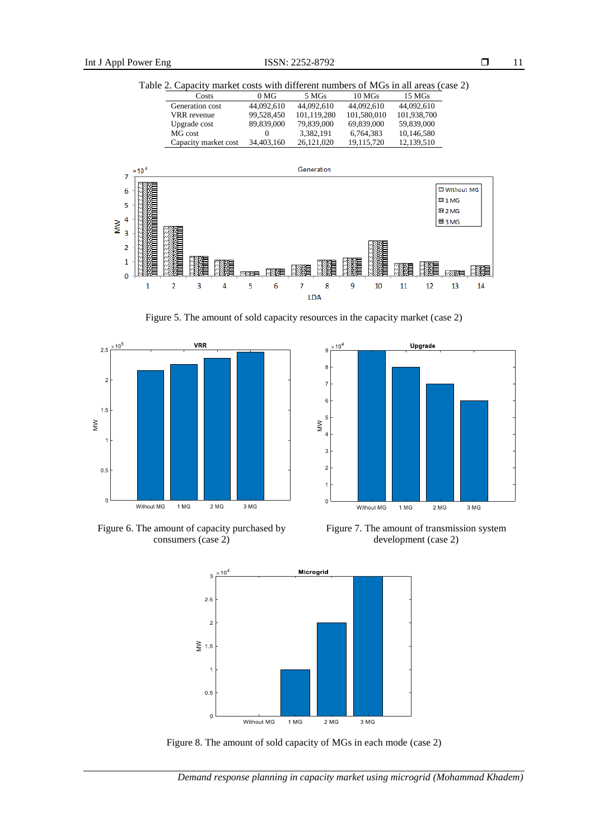Table 2. Capacity market costs with different numbers of MGs in all areas (case 2)

| Costs                | 0 <sub>MG</sub> | 5 MGs       | 10 <sub>MS</sub> | 15 MGs      |  |
|----------------------|-----------------|-------------|------------------|-------------|--|
| Generation cost      | 44,092,610      | 44,092,610  | 44,092,610       | 44.092.610  |  |
| VRR revenue          | 99.528.450      | 101.119.280 | 101.580.010      | 101.938.700 |  |
| Upgrade cost         | 89,839,000      | 79.839,000  | 69.839,000       | 59.839,000  |  |
| MG cost              |                 | 3.382.191   | 6,764,383        | 10,146,580  |  |
| Capacity market cost | 34,403,160      | 26.121.020  | 19.115.720       | 12.139.510  |  |



Figure 5. The amount of sold capacity resources in the capacity market (case 2)





Figure 6. The amount of capacity purchased by consumers (case 2)





Figure 8. The amount of sold capacity of MGs in each mode (case 2)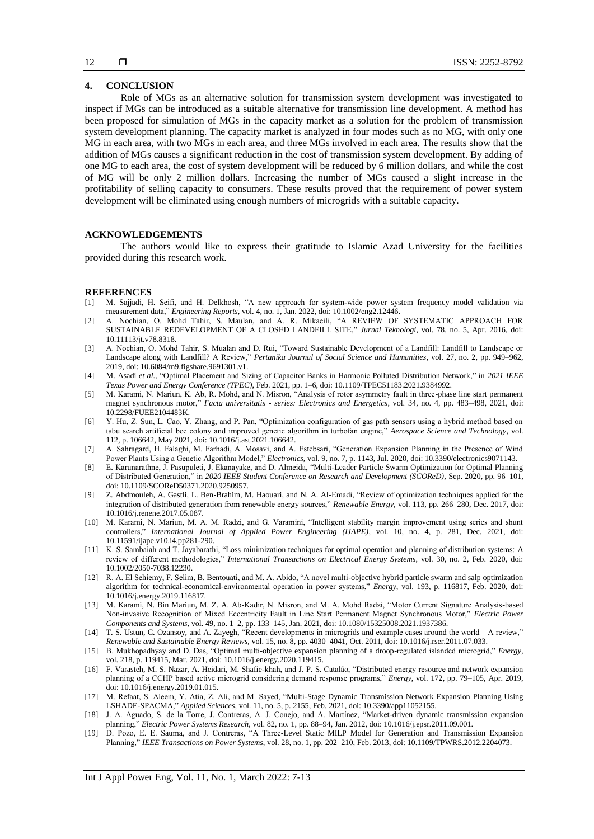# **4. CONCLUSION**

Role of MGs as an alternative solution for transmission system development was investigated to inspect if MGs can be introduced as a suitable alternative for transmission line development. A method has been proposed for simulation of MGs in the capacity market as a solution for the problem of transmission system development planning. The capacity market is analyzed in four modes such as no MG, with only one MG in each area, with two MGs in each area, and three MGs involved in each area. The results show that the addition of MGs causes a significant reduction in the cost of transmission system development. By adding of one MG to each area, the cost of system development will be reduced by 6 million dollars, and while the cost of MG will be only 2 million dollars. Increasing the number of MGs caused a slight increase in the profitability of selling capacity to consumers. These results proved that the requirement of power system development will be eliminated using enough numbers of microgrids with a suitable capacity.

# **ACKNOWLEDGEMENTS**

The authors would like to express their gratitude to Islamic Azad University for the facilities provided during this research work.

#### **REFERENCES**

- [1] M. Sajjadi, H. Seifi, and H. Delkhosh, "A new approach for system-wide power system frequency model validation via measurement data," *Engineering Reports*, vol. 4, no. 1, Jan. 2022, doi: 10.1002/eng2.12446.
- [2] A. Nochian, O. Mohd Tahir, S. Maulan, and A. R. Mikaeili, "A REVIEW OF SYSTEMATIC APPROACH FOR SUSTAINABLE REDEVELOPMENT OF A CLOSED LANDFILL SITE," *Jurnal Teknologi*, vol. 78, no. 5, Apr. 2016, doi: 10.11113/jt.v78.8318.
- [3] A. Nochian, O. Mohd Tahir, S. Mualan and D. Rui, "Toward Sustainable Development of a Landfill: Landfill to Landscape or Landscape along with Landfill? A Review," *Pertanika Journal of Social Science and Humanities*, vol. 27, no. 2, pp. 949–962, 2019, doi: 10.6084/m9.figshare.9691301.v1.
- [4] M. Asadi *et al.*, "Optimal Placement and Sizing of Capacitor Banks in Harmonic Polluted Distribution Network," in *2021 IEEE Texas Power and Energy Conference (TPEC)*, Feb. 2021, pp. 1–6, doi: 10.1109/TPEC51183.2021.9384992.
- [5] M. Karami, N. Mariun, K. Ab, R. Mohd, and N. Misron, "Analysis of rotor asymmetry fault in three-phase line start permanent magnet synchronous motor," *Facta universitatis - series: Electronics and Energetics*, vol. 34, no. 4, pp. 483–498, 2021, doi: 10.2298/FUEE2104483K.
- [6] Y. Hu, Z. Sun, L. Cao, Y. Zhang, and P. Pan, "Optimization configuration of gas path sensors using a hybrid method based on tabu search artificial bee colony and improved genetic algorithm in turbofan engine," *Aerospace Science and Technology*, vol. 112, p. 106642, May 2021, doi: 10.1016/j.ast.2021.106642.
- [7] A. Sahragard, H. Falaghi, M. Farhadi, A. Mosavi, and A. Estebsari, "Generation Expansion Planning in the Presence of Wind Power Plants Using a Genetic Algorithm Model," *Electronics*, vol. 9, no. 7, p. 1143, Jul. 2020, doi: 10.3390/electronics9071143.
- [8] E. Karunarathne, J. Pasupuleti, J. Ekanayake, and D. Almeida, "Multi-Leader Particle Swarm Optimization for Optimal Planning of Distributed Generation," in *2020 IEEE Student Conference on Research and Development (SCOReD)*, Sep. 2020, pp. 96–101, doi: 10.1109/SCOReD50371.2020.9250957.
- [9] Z. Abdmouleh, A. Gastli, L. Ben-Brahim, M. Haouari, and N. A. Al-Emadi, "Review of optimization techniques applied for the integration of distributed generation from renewable energy sources," *Renewable Energy*, vol. 113, pp. 266–280, Dec. 2017, doi: 10.1016/j.renene.2017.05.087.
- [10] M. Karami, N. Mariun, M. A. M. Radzi, and G. Varamini, "Intelligent stability margin improvement using series and shunt controllers," *International Journal of Applied Power Engineering (IJAPE)*, vol. 10, no. 4, p. 281, Dec. 2021, doi: 10.11591/ijape.v10.i4.pp281-290.
- [11] K. S. Sambaiah and T. Jayabarathi, "Loss minimization techniques for optimal operation and planning of distribution systems: A review of different methodologies," *International Transactions on Electrical Energy Systems*, vol. 30, no. 2, Feb. 2020, doi: 10.1002/2050-7038.12230.
- [12] R. A. El Sehiemy, F. Selim, B. Bentouati, and M. A. Abido, "A novel multi-objective hybrid particle swarm and salp optimization algorithm for technical-economical-environmental operation in power systems," *Energy*, vol. 193, p. 116817, Feb. 2020, doi: 10.1016/j.energy.2019.116817.
- [13] M. Karami, N. Bin Mariun, M. Z. A. Ab-Kadir, N. Misron, and M. A. Mohd Radzi, "Motor Current Signature Analysis-based Non-invasive Recognition of Mixed Eccentricity Fault in Line Start Permanent Magnet Synchronous Motor," *Electric Power Components and Systems*, vol. 49, no. 1–2, pp. 133–145, Jan. 2021, doi: 10.1080/15325008.2021.1937386.
- [14] T. S. Ustun, C. Ozansoy, and A. Zayegh, "Recent developments in microgrids and example cases around the world—A review," *Renewable and Sustainable Energy Reviews*, vol. 15, no. 8, pp. 4030–4041, Oct. 2011, doi: 10.1016/j.rser.2011.07.033.
- [15] B. Mukhopadhyay and D. Das, "Optimal multi-objective expansion planning of a droop-regulated islanded microgrid," *Energy*, vol. 218, p. 119415, Mar. 2021, doi: 10.1016/j.energy.2020.119415.
- [16] F. Varasteh, M. S. Nazar, A. Heidari, M. Shafie-khah, and J. P. S. Catalão, "Distributed energy resource and network expansion planning of a CCHP based active microgrid considering demand response programs," *Energy*, vol. 172, pp. 79–105, Apr. 2019, doi: 10.1016/j.energy.2019.01.015.
- [17] M. Refaat, S. Aleem, Y. Atia, Z. Ali, and M. Sayed, "Multi-Stage Dynamic Transmission Network Expansion Planning Using LSHADE-SPACMA," *Applied Sciences*, vol. 11, no. 5, p. 2155, Feb. 2021, doi: 10.3390/app11052155.
- [18] J. A. Aguado, S. de la Torre, J. Contreras, A. J. Conejo, and A. Martínez, "Market-driven dynamic transmission expansion planning," *Electric Power Systems Research*, vol. 82, no. 1, pp. 88–94, Jan. 2012, doi: 10.1016/j.epsr.2011.09.001.
- [19] D. Pozo, E. E. Sauma, and J. Contreras, "A Three-Level Static MILP Model for Generation and Transmission Expansion Planning," *IEEE Transactions on Power Systems*, vol. 28, no. 1, pp. 202–210, Feb. 2013, doi: 10.1109/TPWRS.2012.2204073.